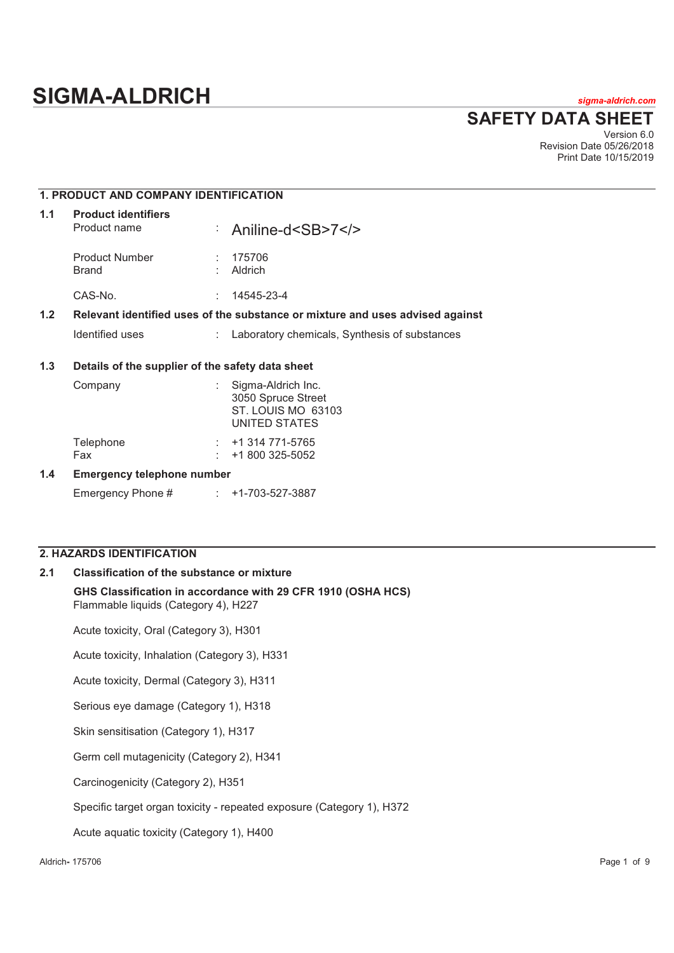# **SIGMA-ALDRICH** *sigma-aldrich.com*

**SAFETY DATA SHEET**

Version 6.0 Revision Date 05/26/2018 Print Date 10/15/2019

# **1. PRODUCT AND COMPANY IDENTIFICATION**

| 1.1 | <b>Product identifiers</b><br>Product name       |    | : Aniline-d <sb>7</sb>                                                        |
|-----|--------------------------------------------------|----|-------------------------------------------------------------------------------|
|     | <b>Product Number</b><br>Brand                   |    | 175706<br>Aldrich                                                             |
|     | CAS-No.                                          | ÷. | 14545-23-4                                                                    |
| 1.2 |                                                  |    | Relevant identified uses of the substance or mixture and uses advised against |
|     | Identified uses                                  | t. | Laboratory chemicals, Synthesis of substances                                 |
| 1.3 | Details of the supplier of the safety data sheet |    |                                                                               |

# Company : Sigma-Aldrich Inc. 3050 Spruce Street ST. LOUIS MO 63103 UNITED STATES Telephone : +1 314 771-5765 Fax : +1 800 325-5052

#### **1.4 Emergency telephone number**

Emergency Phone # : +1-703-527-3887

# **2. HAZARDS IDENTIFICATION**

#### **2.1 Classification of the substance or mixture**

**GHS Classification in accordance with 29 CFR 1910 (OSHA HCS)** Flammable liquids (Category 4), H227

Acute toxicity, Oral (Category 3), H301

Acute toxicity, Inhalation (Category 3), H331

Acute toxicity, Dermal (Category 3), H311

Serious eye damage (Category 1), H318

Skin sensitisation (Category 1), H317

Germ cell mutagenicity (Category 2), H341

Carcinogenicity (Category 2), H351

Specific target organ toxicity - repeated exposure (Category 1), H372

Acute aquatic toxicity (Category 1), H400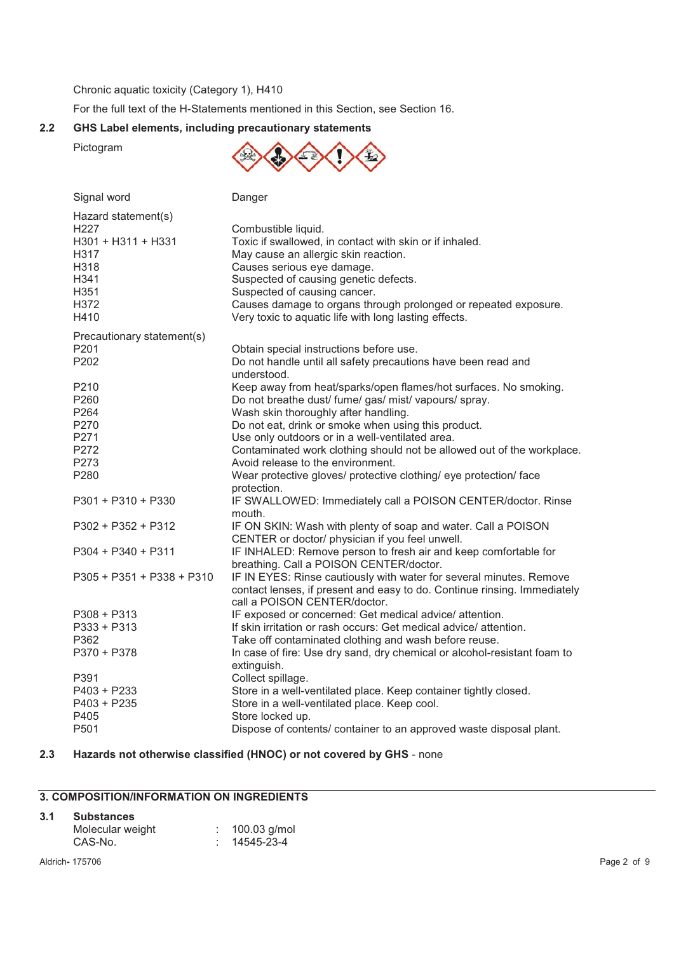Chronic aquatic toxicity (Category 1), H410

For the full text of the H-Statements mentioned in this Section, see Section 16.

# **2.2 GHS Label elements, including precautionary statements**

Pictogram



| Signal word                                                                                                   | Danger                                                                                                                                                                                                                                                                                                                                                    |
|---------------------------------------------------------------------------------------------------------------|-----------------------------------------------------------------------------------------------------------------------------------------------------------------------------------------------------------------------------------------------------------------------------------------------------------------------------------------------------------|
| Hazard statement(s)<br>H <sub>227</sub><br>H301 + H311 + H331<br>H317<br>H318<br>H341<br>H351<br>H372<br>H410 | Combustible liquid.<br>Toxic if swallowed, in contact with skin or if inhaled.<br>May cause an allergic skin reaction.<br>Causes serious eye damage.<br>Suspected of causing genetic defects.<br>Suspected of causing cancer.<br>Causes damage to organs through prolonged or repeated exposure.<br>Very toxic to aquatic life with long lasting effects. |
| Precautionary statement(s)                                                                                    |                                                                                                                                                                                                                                                                                                                                                           |
| P <sub>201</sub><br>P202                                                                                      | Obtain special instructions before use.<br>Do not handle until all safety precautions have been read and<br>understood.                                                                                                                                                                                                                                   |
| P <sub>210</sub><br>P260<br>P264<br>P270<br>P271                                                              | Keep away from heat/sparks/open flames/hot surfaces. No smoking.<br>Do not breathe dust/ fume/ gas/ mist/ vapours/ spray.<br>Wash skin thoroughly after handling.<br>Do not eat, drink or smoke when using this product.<br>Use only outdoors or in a well-ventilated area.                                                                               |
| P272                                                                                                          | Contaminated work clothing should not be allowed out of the workplace.                                                                                                                                                                                                                                                                                    |
| P273<br>P280                                                                                                  | Avoid release to the environment.<br>Wear protective gloves/ protective clothing/ eye protection/ face<br>protection.                                                                                                                                                                                                                                     |
| P301 + P310 + P330                                                                                            | IF SWALLOWED: Immediately call a POISON CENTER/doctor. Rinse<br>mouth.                                                                                                                                                                                                                                                                                    |
| $P302 + P352 + P312$                                                                                          | IF ON SKIN: Wash with plenty of soap and water. Call a POISON<br>CENTER or doctor/ physician if you feel unwell.                                                                                                                                                                                                                                          |
| P304 + P340 + P311                                                                                            | IF INHALED: Remove person to fresh air and keep comfortable for<br>breathing. Call a POISON CENTER/doctor.                                                                                                                                                                                                                                                |
| P305 + P351 + P338 + P310                                                                                     | IF IN EYES: Rinse cautiously with water for several minutes. Remove<br>contact lenses, if present and easy to do. Continue rinsing. Immediately<br>call a POISON CENTER/doctor.                                                                                                                                                                           |
| P308 + P313<br>P333 + P313<br>P362                                                                            | IF exposed or concerned: Get medical advice/ attention.<br>If skin irritation or rash occurs: Get medical advice/attention.<br>Take off contaminated clothing and wash before reuse.                                                                                                                                                                      |
| P370 + P378                                                                                                   | In case of fire: Use dry sand, dry chemical or alcohol-resistant foam to<br>extinguish.                                                                                                                                                                                                                                                                   |
| P391<br>P403 + P233<br>$P403 + P235$<br>P405<br>P501                                                          | Collect spillage.<br>Store in a well-ventilated place. Keep container tightly closed.<br>Store in a well-ventilated place. Keep cool.<br>Store locked up.<br>Dispose of contents/ container to an approved waste disposal plant.                                                                                                                          |
|                                                                                                               |                                                                                                                                                                                                                                                                                                                                                           |

# **2.3 Hazards not otherwise classified (HNOC) or not covered by GHS** - none

# **3. COMPOSITION/INFORMATION ON INGREDIENTS**

#### **3.1 Substances**

| Molecular weight | 100.03 g/mol |
|------------------|--------------|
| CAS-No.          | : 14545-23-4 |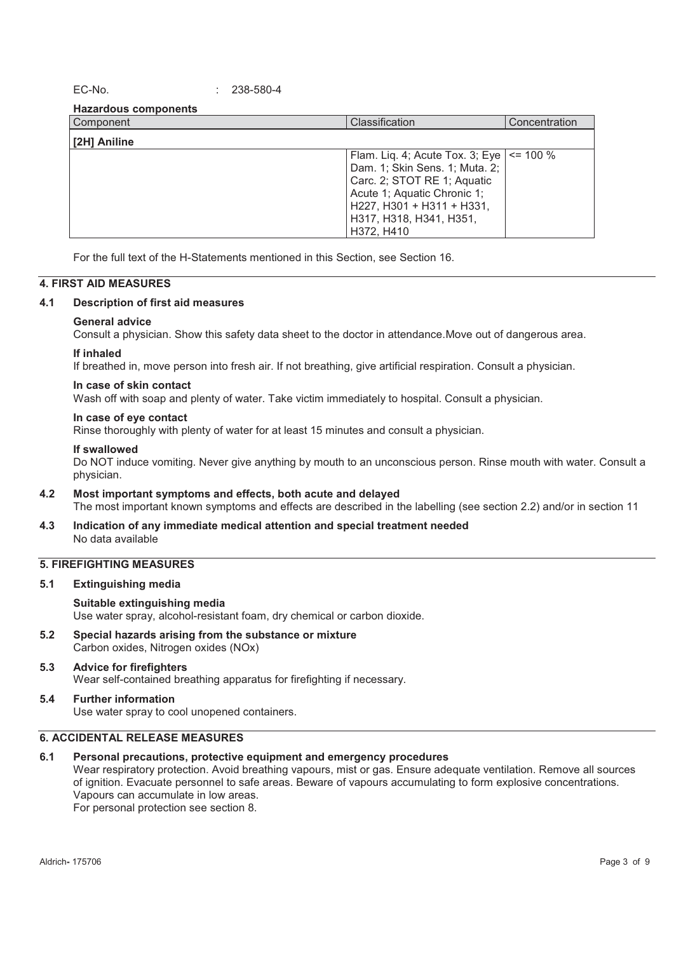EC-No. : 238-580-4

**Hazardous components** 

| Component    | Classification                                                                                                                                                                                                         | Concentration |
|--------------|------------------------------------------------------------------------------------------------------------------------------------------------------------------------------------------------------------------------|---------------|
| [2H] Aniline |                                                                                                                                                                                                                        |               |
|              | Flam. Liq. 4; Acute Tox. 3; Eye $\vert$ <= 100 %<br>Dam. 1; Skin Sens. 1; Muta. 2;<br>Carc. 2; STOT RE 1; Aquatic<br>Acute 1; Aquatic Chronic 1;<br>H227, H301 + H311 + H331,<br>H317, H318, H341, H351,<br>H372, H410 |               |

For the full text of the H-Statements mentioned in this Section, see Section 16.

#### **4. FIRST AID MEASURES**

#### **4.1 Description of first aid measures**

#### **General advice**

Consult a physician. Show this safety data sheet to the doctor in attendance.Move out of dangerous area.

#### **If inhaled**

If breathed in, move person into fresh air. If not breathing, give artificial respiration. Consult a physician.

#### **In case of skin contact**

Wash off with soap and plenty of water. Take victim immediately to hospital. Consult a physician.

#### **In case of eye contact**

Rinse thoroughly with plenty of water for at least 15 minutes and consult a physician.

#### **If swallowed**

Do NOT induce vomiting. Never give anything by mouth to an unconscious person. Rinse mouth with water. Consult a physician.

- **4.2 Most important symptoms and effects, both acute and delayed**  The most important known symptoms and effects are described in the labelling (see section 2.2) and/or in section 11
- **4.3 Indication of any immediate medical attention and special treatment needed**  No data available

# **5. FIREFIGHTING MEASURES**

**5.1 Extinguishing media** 

#### **Suitable extinguishing media**

Use water spray, alcohol-resistant foam, dry chemical or carbon dioxide.

**5.2 Special hazards arising from the substance or mixture**  Carbon oxides, Nitrogen oxides (NOx)

#### **5.3 Advice for firefighters**  Wear self-contained breathing apparatus for firefighting if necessary.

# **5.4 Further information**

Use water spray to cool unopened containers.

# **6. ACCIDENTAL RELEASE MEASURES**

#### **6.1 Personal precautions, protective equipment and emergency procedures**

Wear respiratory protection. Avoid breathing vapours, mist or gas. Ensure adequate ventilation. Remove all sources of ignition. Evacuate personnel to safe areas. Beware of vapours accumulating to form explosive concentrations. Vapours can accumulate in low areas. For personal protection see section 8.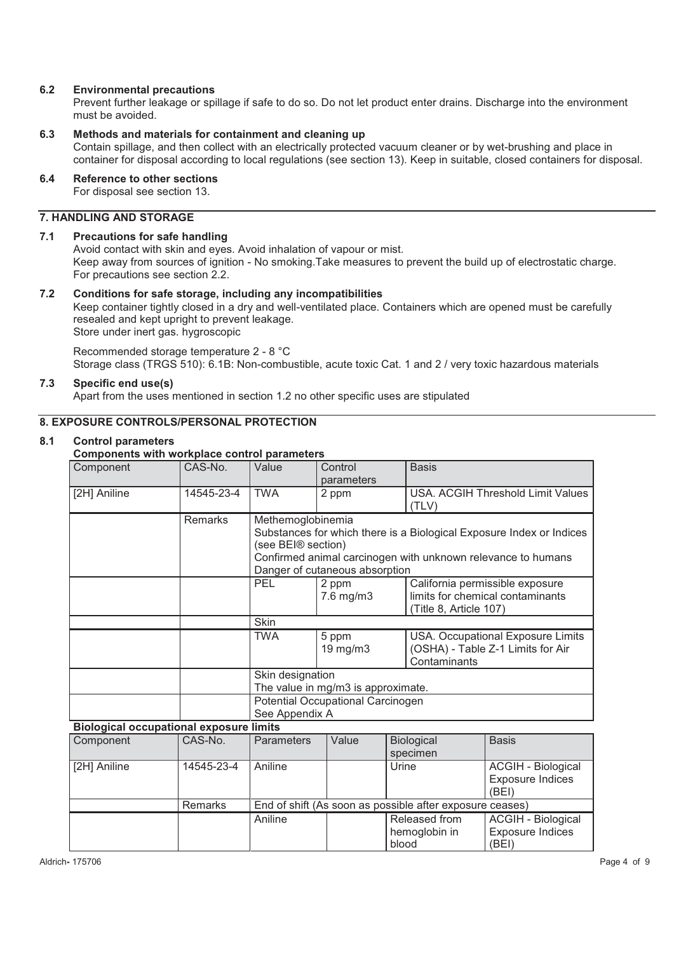# **6.2 Environmental precautions**

Prevent further leakage or spillage if safe to do so. Do not let product enter drains. Discharge into the environment must be avoided.

# **6.3 Methods and materials for containment and cleaning up**

Contain spillage, and then collect with an electrically protected vacuum cleaner or by wet-brushing and place in container for disposal according to local regulations (see section 13). Keep in suitable, closed containers for disposal.

# **6.4 Reference to other sections**

For disposal see section 13.

# **7. HANDLING AND STORAGE**

# **7.1 Precautions for safe handling**

Avoid contact with skin and eyes. Avoid inhalation of vapour or mist. Keep away from sources of ignition - No smoking.Take measures to prevent the build up of electrostatic charge. For precautions see section 2.2.

# **7.2 Conditions for safe storage, including any incompatibilities**

Keep container tightly closed in a dry and well-ventilated place. Containers which are opened must be carefully resealed and kept upright to prevent leakage.

Store under inert gas. hygroscopic

Recommended storage temperature 2 - 8 °C Storage class (TRGS 510): 6.1B: Non-combustible, acute toxic Cat. 1 and 2 / very toxic hazardous materials

# **7.3 Specific end use(s)**

Apart from the uses mentioned in section 1.2 no other specific uses are stipulated

# **8. EXPOSURE CONTROLS/PERSONAL PROTECTION**

#### **8.1 Control parameters**

# **Components with workplace control parameters**

| Component                                      | CAS-No.        | Value                                                                                                                                                                                                             | Control<br>parameters   | <b>Basis</b>                                                                                  |
|------------------------------------------------|----------------|-------------------------------------------------------------------------------------------------------------------------------------------------------------------------------------------------------------------|-------------------------|-----------------------------------------------------------------------------------------------|
| [2H] Aniline                                   | 14545-23-4     | <b>TWA</b>                                                                                                                                                                                                        | 2 ppm                   | USA. ACGIH Threshold Limit Values<br>(TLV)                                                    |
|                                                | <b>Remarks</b> | Methemoglobinemia<br>Substances for which there is a Biological Exposure Index or Indices<br>(see BEI® section)<br>Confirmed animal carcinogen with unknown relevance to humans<br>Danger of cutaneous absorption |                         |                                                                                               |
|                                                |                | PEL.                                                                                                                                                                                                              | 2 ppm<br>$7.6$ mg/m $3$ | California permissible exposure<br>limits for chemical contaminants<br>(Title 8, Article 107) |
|                                                |                | <b>Skin</b>                                                                                                                                                                                                       |                         |                                                                                               |
|                                                |                | TWA                                                                                                                                                                                                               | 5 ppm<br>$19$ mg/m $3$  | USA. Occupational Exposure Limits<br>(OSHA) - Table Z-1 Limits for Air<br>Contaminants        |
|                                                |                | Skin designation<br>The value in mg/m3 is approximate.                                                                                                                                                            |                         |                                                                                               |
|                                                |                | Potential Occupational Carcinogen<br>See Appendix A                                                                                                                                                               |                         |                                                                                               |
| <b>Biological occupational exposure limits</b> |                |                                                                                                                                                                                                                   |                         |                                                                                               |

| Component    | CAS-No.        | <b>Parameters</b> | Value | Biological                                               | <b>Basis</b>            |
|--------------|----------------|-------------------|-------|----------------------------------------------------------|-------------------------|
|              |                |                   |       | specimen                                                 |                         |
| [2H] Aniline | 14545-23-4     | Aniline           |       | Urine                                                    | ACGIH - Biological      |
|              |                |                   |       |                                                          | <b>Exposure Indices</b> |
|              |                |                   |       |                                                          | (BEI)                   |
|              | <b>Remarks</b> |                   |       | End of shift (As soon as possible after exposure ceases) |                         |
|              |                | Aniline           |       | Released from                                            | ACGIH - Biological      |
|              |                |                   |       | hemoglobin in                                            | <b>Exposure Indices</b> |
|              |                |                   |       | blood                                                    | (BEI)                   |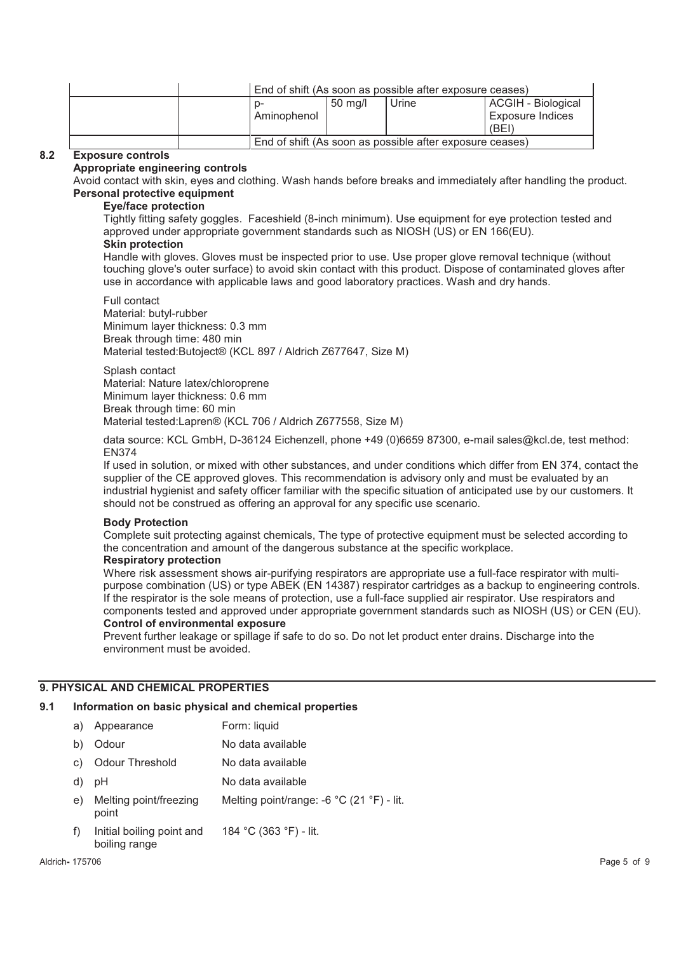|                                                          |         | End of shift (As soon as possible after exposure ceases) |                         |
|----------------------------------------------------------|---------|----------------------------------------------------------|-------------------------|
|                                                          | 50 ma/l | Urine                                                    | ACGIH - Biological      |
| Aminophenol                                              |         |                                                          | <b>Exposure Indices</b> |
|                                                          |         |                                                          | (BEI)                   |
| End of shift (As soon as possible after exposure ceases) |         |                                                          |                         |

# **8.2 Exposure controls**

#### **Appropriate engineering controls**

Avoid contact with skin, eyes and clothing. Wash hands before breaks and immediately after handling the product. **Personal protective equipment** 

#### **Eye/face protection**

Tightly fitting safety goggles. Faceshield (8-inch minimum). Use equipment for eye protection tested and approved under appropriate government standards such as NIOSH (US) or EN 166(EU).

#### **Skin protection**

Handle with gloves. Gloves must be inspected prior to use. Use proper glove removal technique (without touching glove's outer surface) to avoid skin contact with this product. Dispose of contaminated gloves after use in accordance with applicable laws and good laboratory practices. Wash and dry hands.

Full contact Material: butyl-rubber Minimum layer thickness: 0.3 mm Break through time: 480 min Material tested:Butoject® (KCL 897 / Aldrich Z677647, Size M)

Splash contact Material: Nature latex/chloroprene Minimum layer thickness: 0.6 mm Break through time: 60 min Material tested:Lapren® (KCL 706 / Aldrich Z677558, Size M)

data source: KCL GmbH, D-36124 Eichenzell, phone +49 (0)6659 87300, e-mail sales@kcl.de, test method: EN374

If used in solution, or mixed with other substances, and under conditions which differ from EN 374, contact the supplier of the CE approved gloves. This recommendation is advisory only and must be evaluated by an industrial hygienist and safety officer familiar with the specific situation of anticipated use by our customers. It should not be construed as offering an approval for any specific use scenario.

#### **Body Protection**

Complete suit protecting against chemicals, The type of protective equipment must be selected according to the concentration and amount of the dangerous substance at the specific workplace.

#### **Respiratory protection**

Where risk assessment shows air-purifying respirators are appropriate use a full-face respirator with multipurpose combination (US) or type ABEK (EN 14387) respirator cartridges as a backup to engineering controls. If the respirator is the sole means of protection, use a full-face supplied air respirator. Use respirators and components tested and approved under appropriate government standards such as NIOSH (US) or CEN (EU). **Control of environmental exposure** 

Prevent further leakage or spillage if safe to do so. Do not let product enter drains. Discharge into the environment must be avoided.

#### **9. PHYSICAL AND CHEMICAL PROPERTIES**

# **9.1 Information on basic physical and chemical properties**

- a) Appearance Form: liquid
- b) Odour No data available
- c) Odour Threshold No data available
- d) pH No data available
- e) Melting point/freezing point Melting point/range: -6 °C (21 °F) - lit.
- f) Initial boiling point and boiling range 184 °C (363 °F) - lit.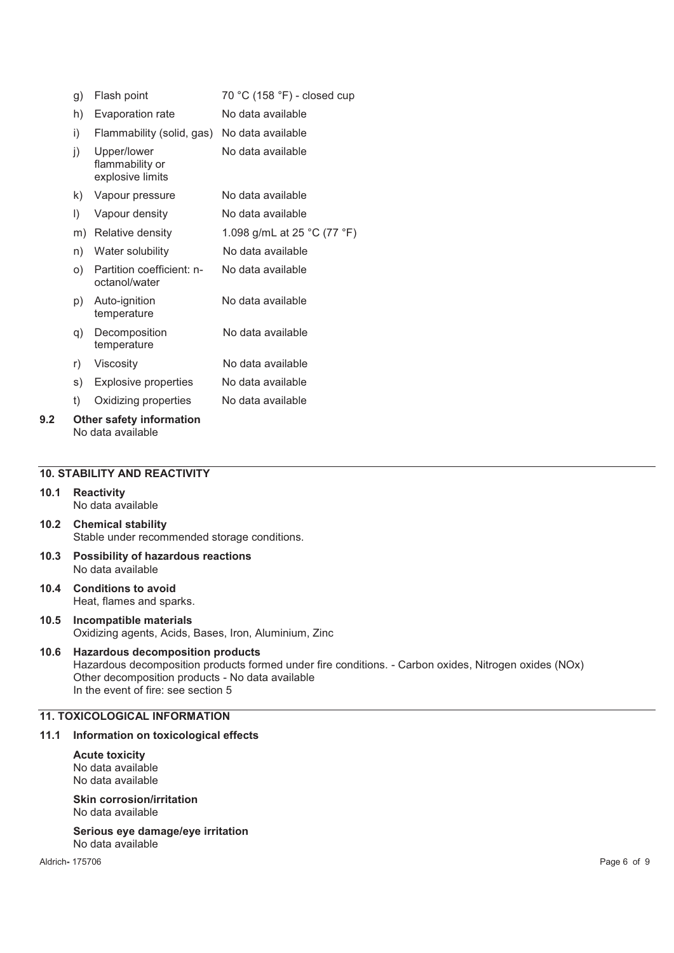| g) | Flash point                                        | 70 °C (158 °F) - closed cup |  |  |  |
|----|----------------------------------------------------|-----------------------------|--|--|--|
| h) | Evaporation rate                                   | No data available           |  |  |  |
| i) | Flammability (solid, gas)                          | No data available           |  |  |  |
| j) | Upper/lower<br>flammability or<br>explosive limits | No data available           |  |  |  |
| k) | Vapour pressure                                    | No data available           |  |  |  |
| I) | Vapour density                                     | No data available           |  |  |  |
| m) | Relative density                                   | 1.098 g/mL at 25 °C (77 °F) |  |  |  |
| n) | Water solubility                                   | No data available           |  |  |  |
| O) | Partition coefficient: n-<br>octanol/water         | No data available           |  |  |  |
| p) | Auto-ignition<br>temperature                       | No data available           |  |  |  |
| q) | Decomposition<br>temperature                       | No data available           |  |  |  |
| r) | Viscosity                                          | No data available           |  |  |  |
| s) | Explosive properties                               | No data available           |  |  |  |
| t) | Oxidizing properties                               | No data available           |  |  |  |
|    | $\bigcap f$ lare anfaturinfarmation                |                             |  |  |  |

# **9.2 Other safety information**  No data available

### **10. STABILITY AND REACTIVITY**

- **10.1 Reactivity**  No data available
- **10.2 Chemical stability**  Stable under recommended storage conditions.
- **10.3 Possibility of hazardous reactions**  No data available
- **10.4 Conditions to avoid**  Heat, flames and sparks.
- **10.5 Incompatible materials**  Oxidizing agents, Acids, Bases, Iron, Aluminium, Zinc

#### **10.6 Hazardous decomposition products**  Hazardous decomposition products formed under fire conditions. - Carbon oxides, Nitrogen oxides (NOx) Other decomposition products - No data available In the event of fire: see section 5

# **11. TOXICOLOGICAL INFORMATION**

# **11.1 Information on toxicological effects**

**Acute toxicity**  No data available No data available

**Skin corrosion/irritation**  No data available

**Serious eye damage/eye irritation**  No data available

Aldrich**-** 175706 Page 6 of 9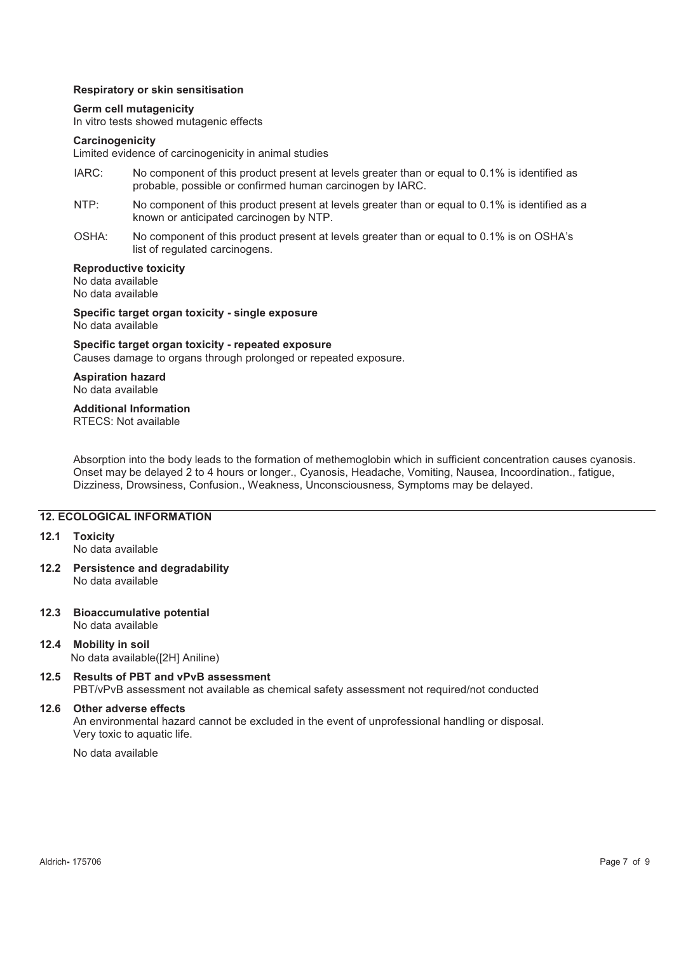#### **Respiratory or skin sensitisation**

#### **Germ cell mutagenicity**

In vitro tests showed mutagenic effects

#### **Carcinogenicity**

Limited evidence of carcinogenicity in animal studies

- IARC: No component of this product present at levels greater than or equal to 0.1% is identified as probable, possible or confirmed human carcinogen by IARC.
- NTP: No component of this product present at levels greater than or equal to 0.1% is identified as a known or anticipated carcinogen by NTP.
- OSHA: No component of this product present at levels greater than or equal to 0.1% is on OSHA's list of regulated carcinogens.

#### **Reproductive toxicity**

No data available No data available

**Specific target organ toxicity - single exposure**  No data available

# **Specific target organ toxicity - repeated exposure**

Causes damage to organs through prolonged or repeated exposure.

#### **Aspiration hazard**  No data available

# **Additional Information**

RTECS: Not available

Absorption into the body leads to the formation of methemoglobin which in sufficient concentration causes cyanosis. Onset may be delayed 2 to 4 hours or longer., Cyanosis, Headache, Vomiting, Nausea, Incoordination., fatigue, Dizziness, Drowsiness, Confusion., Weakness, Unconsciousness, Symptoms may be delayed.

# **12. ECOLOGICAL INFORMATION**

#### **12.1 Toxicity**

No data available

**12.2 Persistence and degradability**  No data available

#### **12.3 Bioaccumulative potential**  No data available

- **12.4 Mobility in soil**  No data available([2H] Aniline)
- **12.5 Results of PBT and vPvB assessment**  PBT/vPvB assessment not available as chemical safety assessment not required/not conducted

#### **12.6 Other adverse effects**

An environmental hazard cannot be excluded in the event of unprofessional handling or disposal. Very toxic to aquatic life.

No data available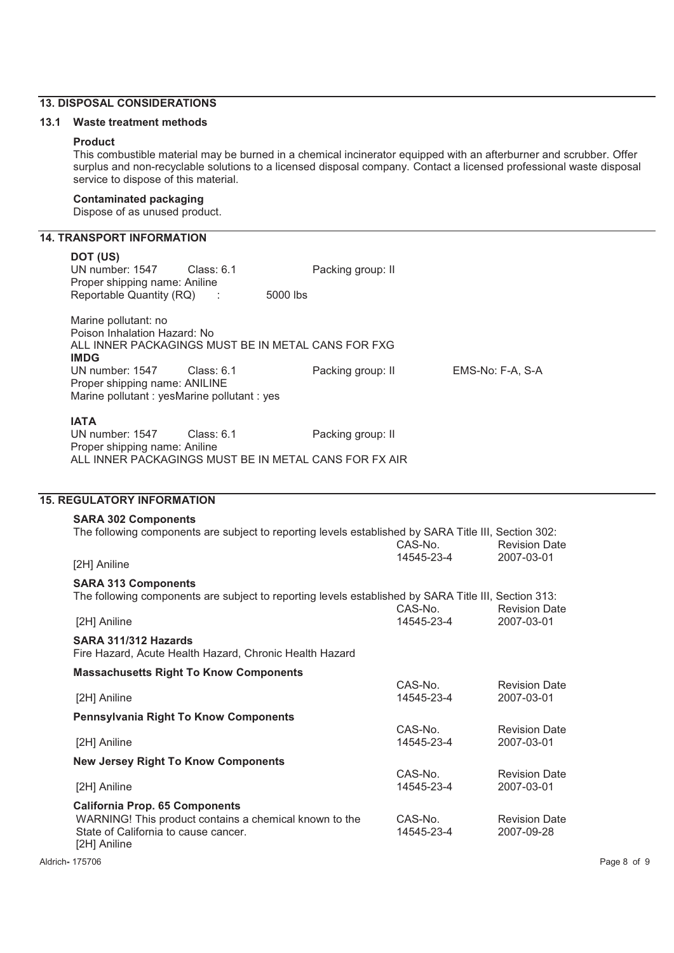# **13. DISPOSAL CONSIDERATIONS**

# **13.1 Waste treatment methods**

#### **Product**

This combustible material may be burned in a chemical incinerator equipped with an afterburner and scrubber. Offer surplus and non-recyclable solutions to a licensed disposal company. Contact a licensed professional waste disposal service to dispose of this material.

#### **Contaminated packaging**

Dispose of as unused product.

# **14. TRANSPORT INFORMATION**

| DOT (US)<br>UN number: 1547<br>Proper shipping name: Aniline<br>Reportable Quantity (RQ)                                                                | Class: $6.1$<br>5000 lbs<br>$\mathbb{R}^2$ | Packing group: II |                       |                                    |
|---------------------------------------------------------------------------------------------------------------------------------------------------------|--------------------------------------------|-------------------|-----------------------|------------------------------------|
| Marine pollutant: no<br>Poison Inhalation Hazard: No<br>ALL INNER PACKAGINGS MUST BE IN METAL CANS FOR FXG<br><b>IMDG</b><br>UN number: 1547            | Class: $6.1$                               | Packing group: II |                       | EMS-No: F-A, S-A                   |
| Proper shipping name: ANILINE<br>Marine pollutant : yesMarine pollutant : yes                                                                           |                                            |                   |                       |                                    |
| <b>IATA</b><br>UN number: 1547<br>Proper shipping name: Aniline<br>ALL INNER PACKAGINGS MUST BE IN METAL CANS FOR FX AIR                                | Class: $6.1$                               | Packing group: II |                       |                                    |
|                                                                                                                                                         |                                            |                   |                       |                                    |
| <b>15. REGULATORY INFORMATION</b>                                                                                                                       |                                            |                   |                       |                                    |
| <b>SARA 302 Components</b>                                                                                                                              |                                            |                   |                       |                                    |
| The following components are subject to reporting levels established by SARA Title III, Section 302:                                                    |                                            |                   | CAS-No.               | <b>Revision Date</b>               |
| [2H] Aniline                                                                                                                                            |                                            |                   | 14545-23-4            | 2007-03-01                         |
| <b>SARA 313 Components</b><br>The following components are subject to reporting levels established by SARA Title III, Section 313:                      |                                            |                   | CAS-No.               | <b>Revision Date</b>               |
| [2H] Aniline                                                                                                                                            |                                            |                   | 14545-23-4            | 2007-03-01                         |
| SARA 311/312 Hazards<br>Fire Hazard, Acute Health Hazard, Chronic Health Hazard                                                                         |                                            |                   |                       |                                    |
| <b>Massachusetts Right To Know Components</b>                                                                                                           |                                            |                   |                       |                                    |
| [2H] Aniline                                                                                                                                            |                                            |                   | CAS-No.<br>14545-23-4 | <b>Revision Date</b><br>2007-03-01 |
| <b>Pennsylvania Right To Know Components</b>                                                                                                            |                                            |                   |                       |                                    |
| [2H] Aniline                                                                                                                                            |                                            |                   | CAS-No.<br>14545-23-4 | <b>Revision Date</b><br>2007-03-01 |
| <b>New Jersey Right To Know Components</b>                                                                                                              |                                            |                   |                       |                                    |
| [2H] Aniline                                                                                                                                            |                                            |                   | CAS-No.<br>14545-23-4 | <b>Revision Date</b><br>2007-03-01 |
| <b>California Prop. 65 Components</b><br>WARNING! This product contains a chemical known to the<br>State of California to cause cancer.<br>[2H] Aniline |                                            |                   | CAS-No.<br>14545-23-4 | <b>Revision Date</b><br>2007-09-28 |